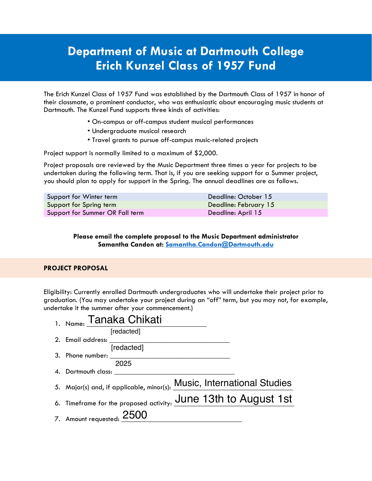## **Department of Music at Dartmouth College Erich Kunzel Class of 1957 Fund**

The Erich Kunzel Class of 1957 Fund was established by the Dartmouth Class of 1957 in honor of their classmate, a prominent conductor, who was enthusiastic about encouraging music students at Dartmouth. The Kunzel Fund supports three kinds of activities:

- On-campus or off-campus student musical performances
- Undergraduate musical research
- Travel grants to pursue off-campus music-related projects

Project support is normally limited to a maximum of \$2,000.

Project proposals are reviewed by the Music Department three times a year for projects to be undertaken during the following term. That is, if you are seeking support for a Summer project, you should plan to apply for support in the Spring. The annual deadlines are as follows.

| Support for Winter term         | Deadline: October 15  |
|---------------------------------|-----------------------|
| Support for Spring term         | Deadline: February 15 |
| Support for Summer OR Fall term | Deadline: April 15    |

## **Please email the complete proposal to the Music Department administrator Samantha Candon at: Samantha.Candon@Dartmouth.edu**

## **PROJECT PROPOSAL**

Eligibility: Currently enrolled Dartmouth undergraduates who will undertake their project prior to graduation. (You may undertake your project during an "off" term, but you may not, for example, undertake it the summer after your commencement.)

| 1. Name: Tanaka Chikati                                                |
|------------------------------------------------------------------------|
| [redacted]                                                             |
| 2. Email address:                                                      |
| [redacted]                                                             |
| 3. Phone number: ________                                              |
| 2025                                                                   |
| 4. Dartmouth class:                                                    |
| 5. Major(s) and, if applicable, minor(s): Music, International Studies |
| 6. Timeframe for the proposed activity: June 13th to August 1st        |
| 7. Amount requested: $2500$                                            |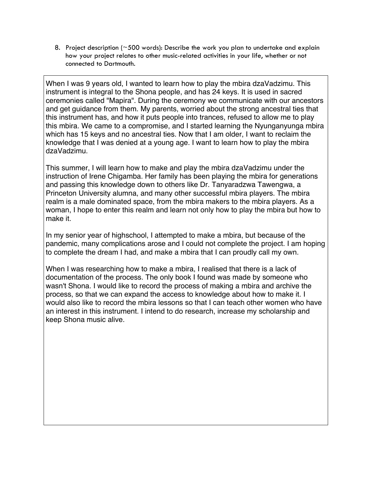8. Project description ( $\approx$  500 words): Describe the work you plan to undertake and explain how your project relates to other music-related activities in your life, whether or not connected to Dartmouth.

When I was 9 years old, I wanted to learn how to play the mbira dzaVadzimu. This instrument is integral to the Shona people, and has 24 keys. It is used in sacred ceremonies called "Mapira". During the ceremony we communicate with our ancestors and get guidance from them. My parents, worried about the strong ancestral ties that this instrument has, and how it puts people into trances, refused to allow me to play this mbira. We came to a compromise, and I started learning the Nyunganyunga mbira which has 15 keys and no ancestral ties. Now that I am older, I want to reclaim the knowledge that I was denied at a young age. I want to learn how to play the mbira dzaVadzimu.

This summer, I will learn how to make and play the mbira dzaVadzimu under the instruction of Irene Chigamba. Her family has been playing the mbira for generations and passing this knowledge down to others like Dr. Tanyaradzwa Tawengwa, a Princeton University alumna, and many other successful mbira players. The mbira realm is a male dominated space, from the mbira makers to the mbira players. As a woman, I hope to enter this realm and learn not only how to play the mbira but how to make it.

In my senior year of highschool, I attempted to make a mbira, but because of the pandemic, many complications arose and I could not complete the project. I am hoping to complete the dream I had, and make a mbira that I can proudly call my own.

When I was researching how to make a mbira, I realised that there is a lack of documentation of the process. The only book I found was made by someone who wasn't Shona. I would like to record the process of making a mbira and archive the process, so that we can expand the access to knowledge about how to make it. I would also like to record the mbira lessons so that I can teach other women who have an interest in this instrument. I intend to do research, increase my scholarship and keep Shona music alive.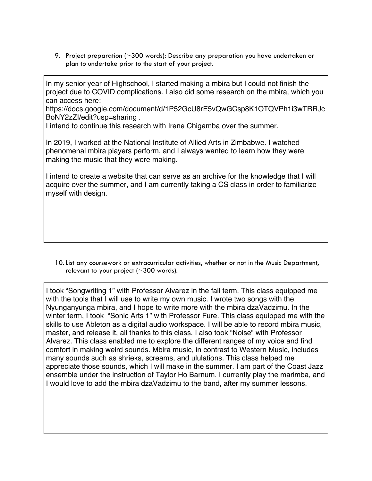9. Project preparation (~300 words): Describe any preparation you have undertaken or plan to undertake prior to the start of your project.

In my senior year of Highschool, I started making a mbira but I could not finish the project due to COVID complications. I also did some research on the mbira, which you can access here:

https://docs.google.com/document/d/1P52GcU8rE5vQwGCsp8K1OTQVPh1i3wTRRJc BoNY2zZI/edit?usp=sharing .

I intend to continue this research with Irene Chigamba over the summer.

In 2019, I worked at the National Institute of Allied Arts in Zimbabwe. I watched phenomenal mbira players perform, and I always wanted to learn how they were making the music that they were making.

I intend to create a website that can serve as an archive for the knowledge that I will acquire over the summer, and I am currently taking a CS class in order to familiarize myself with design.

10.List any coursework or extracurricular activities, whether or not in the Music Department, relevant to your project ( $\sim$ 300 words).

I took "Songwriting 1" with Professor Alvarez in the fall term. This class equipped me with the tools that I will use to write my own music. I wrote two songs with the Nyunganyunga mbira, and I hope to write more with the mbira dzaVadzimu. In the winter term, I took "Sonic Arts 1" with Professor Fure. This class equipped me with the skills to use Ableton as a digital audio workspace. I will be able to record mbira music, master, and release it, all thanks to this class. I also took "Noise" with Professor Alvarez. This class enabled me to explore the different ranges of my voice and find comfort in making weird sounds. Mbira music, in contrast to Western Music, includes many sounds such as shrieks, screams, and ululations. This class helped me appreciate those sounds, which I will make in the summer. I am part of the Coast Jazz ensemble under the instruction of Taylor Ho Barnum. I currently play the marimba, and I would love to add the mbira dzaVadzimu to the band, after my summer lessons.